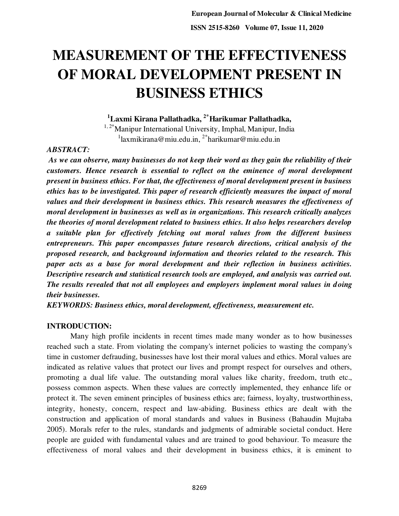# **MEASUREMENT OF THE EFFECTIVENESS OF MORAL DEVELOPMENT PRESENT IN BUSINESS ETHICS**

**<sup>1</sup>Laxmi Kirana Pallathadka, 2\*Harikumar Pallathadka,** 

<sup>1, 2\*</sup>Manipur International University, Imphal, Manipur, India <sup>1</sup>[laxmikirana@miu.edu.in,](mailto:laxmikirana@miu.edu.in) <sup>2\*</sup>[harikumar@miu.edu.in](mailto:harikumar@miu.edu.in)

# *ABSTRACT:*

 *As we can observe, many businesses do not keep their word as they gain the reliability of their customers. Hence research is essential to reflect on the eminence of moral development present in business ethics. For that, the effectiveness of moral development present in business ethics has to be investigated. This paper of research efficiently measures the impact of moral values and their development in business ethics. This research measures the effectiveness of moral development in businesses as well as in organizations. This research critically analyzes the theories of moral development related to business ethics. It also helps researchers develop a suitable plan for effectively fetching out moral values from the different business entrepreneurs. This paper encompasses future research directions, critical analysis of the proposed research, and background information and theories related to the research. This paper acts as a base for moral development and their reflection in business activities. Descriptive research and statistical research tools are employed, and analysis was carried out. The results revealed that not all employees and employers implement moral values in doing their businesses.* 

*KEYWORDS: Business ethics, moral development, effectiveness, measurement etc.* 

# **INTRODUCTION:**

 Many high profile incidents in recent times made many wonder as to how businesses reached such a state. From violating the company's internet policies to wasting the company's time in customer defrauding, businesses have lost their moral values and ethics. Moral values are indicated as relative values that protect our lives and prompt respect for ourselves and others, promoting a dual life value. The outstanding moral values like charity, freedom, truth etc., possess common aspects. When these values are correctly implemented, they enhance life or protect it. The seven eminent principles of business ethics are; fairness, loyalty, trustworthiness, integrity, honesty, concern, respect and law-abiding. Business ethics are dealt with the construction and application of moral standards and values in Business (Bahaudin Mujtaba 2005). Morals refer to the rules, standards and judgments of admirable societal conduct. Here people are guided with fundamental values and are trained to good behaviour. To measure the effectiveness of moral values and their development in business ethics, it is eminent to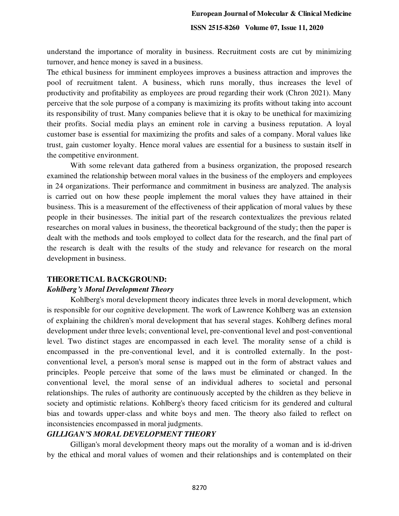understand the importance of morality in business. Recruitment costs are cut by minimizing turnover, and hence money is saved in a business.

The ethical business for imminent employees improves a business attraction and improves the pool of recruitment talent. A business, which runs morally, thus increases the level of productivity and profitability as employees are proud regarding their work (Chron 2021). Many perceive that the sole purpose of a company is maximizing its profits without taking into account its responsibility of trust. Many companies believe that it is okay to be unethical for maximizing their profits. Social media plays an eminent role in carving a business reputation. A loyal customer base is essential for maximizing the profits and sales of a company. Moral values like trust, gain customer loyalty. Hence moral values are essential for a business to sustain itself in the competitive environment.

 With some relevant data gathered from a business organization, the proposed research examined the relationship between moral values in the business of the employers and employees in 24 organizations. Their performance and commitment in business are analyzed. The analysis is carried out on how these people implement the moral values they have attained in their business. This is a measurement of the effectiveness of their application of moral values by these people in their businesses. The initial part of the research contextualizes the previous related researches on moral values in business, the theoretical background of the study; then the paper is dealt with the methods and tools employed to collect data for the research, and the final part of the research is dealt with the results of the study and relevance for research on the moral development in business.

#### **THEORETICAL BACKGROUND:**

#### *Kohlberg's Moral Development Theory*

Kohlberg's moral development theory indicates three levels in moral development, which is responsible for our cognitive development. The work of Lawrence Kohlberg was an extension of explaining the children's moral development that has several stages. Kohlberg defines moral development under three levels; conventional level, pre-conventional level and post-conventional level. Two distinct stages are encompassed in each level. The morality sense of a child is encompassed in the pre-conventional level, and it is controlled externally. In the postconventional level, a person's moral sense is mapped out in the form of abstract values and principles. People perceive that some of the laws must be eliminated or changed. In the conventional level, the moral sense of an individual adheres to societal and personal relationships. The rules of authority are continuously accepted by the children as they believe in society and optimistic relations. Kohlberg's theory faced criticism for its gendered and cultural bias and towards upper-class and white boys and men. The theory also failed to reflect on inconsistencies encompassed in moral judgments.

#### *GILLIGAN'S MORAL DEVELOPMENT THEORY*

 Gilligan's moral development theory maps out the morality of a woman and is id-driven by the ethical and moral values of women and their relationships and is contemplated on their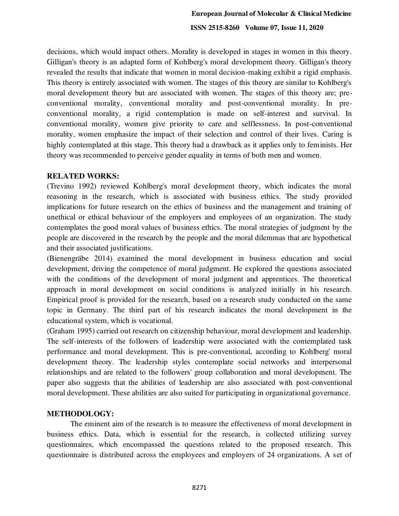decisions, which would impact others. Morality is developed in stages in women in this theory. Gilligan's theory is an adapted form of Kohlberg's moral development theory. Gilligan's theory revealed the results that indicate that women in moral decision-making exhibit a rigid emphasis. This theory is entirely associated with women. The stages of this theory are similar to Kohlberg's moral development theory but are associated with women. The stages of this theory are; preconventional morality, conventional morality and post-conventional morality. In preconventional morality, a rigid contemplation is made on self-interest and survival. In conventional morality, women give priority to care and selflessness. In post-conventional morality, women emphasize the impact of their selection and control of their lives. Caring is highly contemplated at this stage. This theory had a drawback as it applies only to feminists. Her theory was recommended to perceive gender equality in terms of both men and women.

## **RELATED WORKS:**

(Trevino 1992) reviewed Kohlberg's moral development theory, which indicates the moral reasoning in the research, which is associated with business ethics. The study provided implications for future research on the ethics of business and the management and training of unethical or ethical behaviour of the employers and employees of an organization. The study contemplates the good moral values of business ethics. The moral strategies of judgment by the people are discovered in the research by the people and the moral dilemmas that are hypothetical and their associated justifications.

(Bienengräbe 2014) examined the moral development in business education and social development, driving the competence of moral judgment. He explored the questions associated with the conditions of the development of moral judgment and apprentices. The theoretical approach in moral development on social conditions is analyzed initially in his research. Empirical proof is provided for the research, based on a research study conducted on the same topic in Germany. The third part of his research indicates the moral development in the educational system, which is vocational.

(Graham 1995) carried out research on citizenship behaviour, moral development and leadership. The self-interests of the followers of leadership were associated with the contemplated task performance and moral development. This is pre-conventional, according to Kohlberg' moral development theory. The leadership styles contemplate social networks and interpersonal relationships and are related to the followers' group collaboration and moral development. The paper also suggests that the abilities of leadership are also associated with post-conventional moral development. These abilities are also suited for participating in organizational governance.

# **METHODOLOGY:**

 The eminent aim of the research is to measure the effectiveness of moral development in business ethics. Data, which is essential for the research, is collected utilizing survey questionnaires, which encompassed the questions related to the proposed research. This questionnaire is distributed across the employees and employers of 24 organizations. A set of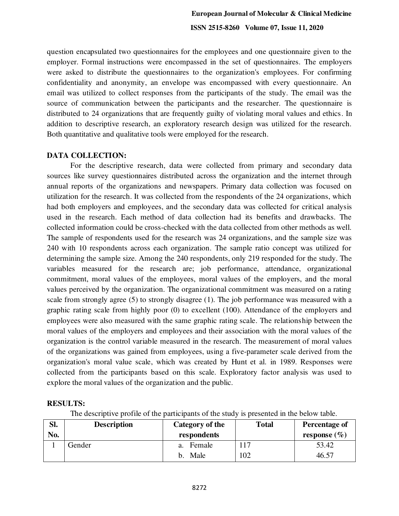question encapsulated two questionnaires for the employees and one questionnaire given to the employer. Formal instructions were encompassed in the set of questionnaires. The employers were asked to distribute the questionnaires to the organization's employees. For confirming confidentiality and anonymity, an envelope was encompassed with every questionnaire. An email was utilized to collect responses from the participants of the study. The email was the source of communication between the participants and the researcher. The questionnaire is distributed to 24 organizations that are frequently guilty of violating moral values and ethics. In addition to descriptive research, an exploratory research design was utilized for the research. Both quantitative and qualitative tools were employed for the research.

## **DATA COLLECTION:**

 For the descriptive research, data were collected from primary and secondary data sources like survey questionnaires distributed across the organization and the internet through annual reports of the organizations and newspapers. Primary data collection was focused on utilization for the research. It was collected from the respondents of the 24 organizations, which had both employers and employees, and the secondary data was collected for critical analysis used in the research. Each method of data collection had its benefits and drawbacks. The collected information could be cross-checked with the data collected from other methods as well. The sample of respondents used for the research was 24 organizations, and the sample size was 240 with 10 respondents across each organization. The sample ratio concept was utilized for determining the sample size. Among the 240 respondents, only 219 responded for the study. The variables measured for the research are; job performance, attendance, organizational commitment, moral values of the employees, moral values of the employers, and the moral values perceived by the organization. The organizational commitment was measured on a rating scale from strongly agree (5) to strongly disagree (1). The job performance was measured with a graphic rating scale from highly poor (0) to excellent (100). Attendance of the employers and employees were also measured with the same graphic rating scale. The relationship between the moral values of the employers and employees and their association with the moral values of the organization is the control variable measured in the research. The measurement of moral values of the organizations was gained from employees, using a five-parameter scale derived from the organization's moral value scale, which was created by Hunt et al. in 1989. Responses were collected from the participants based on this scale. Exploratory factor analysis was used to explore the moral values of the organization and the public.

# **RESULTS:**

The descriptive profile of the participants of the study is presented in the below table.

| SI. | <b>Description</b> | Category of the | <b>Total</b> | Percentage of    |  |
|-----|--------------------|-----------------|--------------|------------------|--|
| No. |                    | respondents     |              | response $(\% )$ |  |
|     | Gender             | Female<br>a.    | 117          | 53.42            |  |
|     |                    | b. Male         | 102          | 46.57            |  |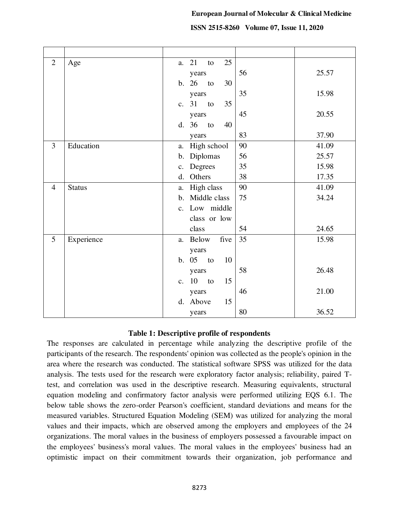|  | ISSN 2515-8260 Volume 07, Issue 11, 2020 |
|--|------------------------------------------|
|--|------------------------------------------|

| $\overline{2}$ | Age           | 21<br>25<br>to<br>a.             |       |
|----------------|---------------|----------------------------------|-------|
|                |               | 56<br>years                      | 25.57 |
|                |               | b. 26<br>30<br>to                |       |
|                |               | 35<br>years                      | 15.98 |
|                |               | c. 31<br>35<br>to                |       |
|                |               | 45<br>years                      | 20.55 |
|                |               | d. 36<br>to<br>40                |       |
|                |               | 83<br>years                      | 37.90 |
| 3              | Education     | High school<br>90<br>a.          | 41.09 |
|                |               | b. Diplomas<br>56                | 25.57 |
|                |               | 35<br>Degrees<br>$\mathbf{c}$ .  | 15.98 |
|                |               | Others<br>38<br>d.               | 17.35 |
| $\overline{4}$ | <b>Status</b> | High class<br>90<br>a.           | 41.09 |
|                |               | Middle class<br>75<br>b.         | 34.24 |
|                |               | Low middle<br>c.                 |       |
|                |               | class or low                     |       |
|                |               | class<br>54                      | 24.65 |
| 5              | Experience    | 35<br>five<br>a. Below           | 15.98 |
|                |               | years                            |       |
|                |               | b. 05<br>10<br>to                |       |
|                |               | 58<br>years                      | 26.48 |
|                |               | 10<br>15<br>to<br>$\mathbf{c}$ . |       |
|                |               | 46<br>years                      | 21.00 |
|                |               | 15<br>d. Above                   |       |
|                |               | 80<br>years                      | 36.52 |

#### **Table 1: Descriptive profile of respondents**

The responses are calculated in percentage while analyzing the descriptive profile of the participants of the research. The respondents' opinion was collected as the people's opinion in the area where the research was conducted. The statistical software SPSS was utilized for the data analysis. The tests used for the research were exploratory factor analysis; reliability, paired Ttest, and correlation was used in the descriptive research. Measuring equivalents, structural equation modeling and confirmatory factor analysis were performed utilizing EQS 6.1. The below table shows the zero-order Pearson's coefficient, standard deviations and means for the measured variables. Structured Equation Modeling (SEM) was utilized for analyzing the moral values and their impacts, which are observed among the employers and employees of the 24 organizations. The moral values in the business of employers possessed a favourable impact on the employees' business's moral values. The moral values in the employees' business had an optimistic impact on their commitment towards their organization, job performance and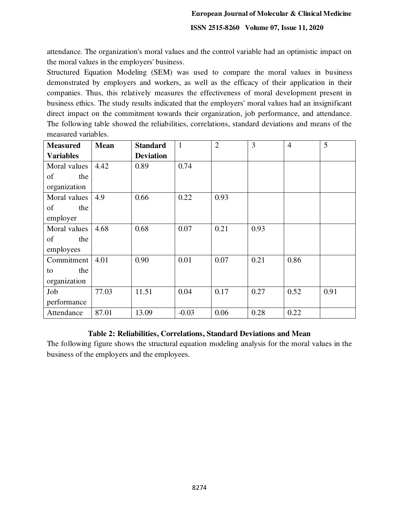**ISSN 2515-8260 Volume 07, Issue 11, 2020**

attendance. The organization's moral values and the control variable had an optimistic impact on the moral values in the employers' business.

Structured Equation Modeling (SEM) was used to compare the moral values in business demonstrated by employers and workers, as well as the efficacy of their application in their companies. Thus, this relatively measures the effectiveness of moral development present in business ethics. The study results indicated that the employers' moral values had an insignificant direct impact on the commitment towards their organization, job performance, and attendance. The following table showed the reliabilities, correlations, standard deviations and means of the measured variables.

| <b>Measured</b>  | <b>Mean</b> | <b>Standard</b>  | $\mathbf{1}$ | $\overline{2}$ | 3    | $\overline{4}$ | 5    |
|------------------|-------------|------------------|--------------|----------------|------|----------------|------|
| <b>Variables</b> |             | <b>Deviation</b> |              |                |      |                |      |
| Moral values     | 4.42        | 0.89             | 0.74         |                |      |                |      |
| of<br>the        |             |                  |              |                |      |                |      |
| organization     |             |                  |              |                |      |                |      |
| Moral values     | 4.9         | 0.66             | 0.22         | 0.93           |      |                |      |
| of<br>the        |             |                  |              |                |      |                |      |
| employer         |             |                  |              |                |      |                |      |
| Moral values     | 4.68        | 0.68             | 0.07         | 0.21           | 0.93 |                |      |
| of<br>the        |             |                  |              |                |      |                |      |
| employees        |             |                  |              |                |      |                |      |
| Commitment       | 4.01        | 0.90             | 0.01         | 0.07           | 0.21 | 0.86           |      |
| the<br>to        |             |                  |              |                |      |                |      |
| organization     |             |                  |              |                |      |                |      |
| Job              | 77.03       | 11.51            | 0.04         | 0.17           | 0.27 | 0.52           | 0.91 |
| performance      |             |                  |              |                |      |                |      |
| Attendance       | 87.01       | 13.09            | $-0.03$      | 0.06           | 0.28 | 0.22           |      |

# **Table 2: Reliabilities, Correlations, Standard Deviations and Mean**

The following figure shows the structural equation modeling analysis for the moral values in the business of the employers and the employees.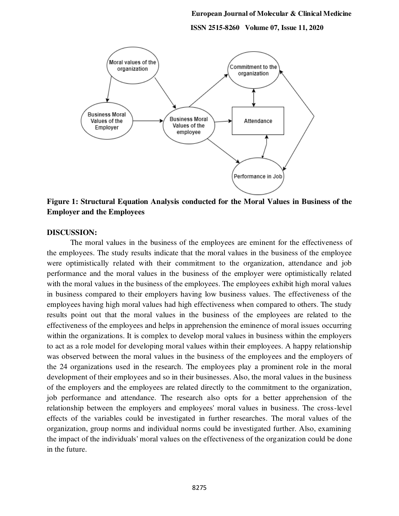**ISSN 2515-8260 Volume 07, Issue 11, 2020**



**Figure 1: Structural Equation Analysis conducted for the Moral Values in Business of the Employer and the Employees** 

#### **DISCUSSION:**

 The moral values in the business of the employees are eminent for the effectiveness of the employees. The study results indicate that the moral values in the business of the employee were optimistically related with their commitment to the organization, attendance and job performance and the moral values in the business of the employer were optimistically related with the moral values in the business of the employees. The employees exhibit high moral values in business compared to their employers having low business values. The effectiveness of the employees having high moral values had high effectiveness when compared to others. The study results point out that the moral values in the business of the employees are related to the effectiveness of the employees and helps in apprehension the eminence of moral issues occurring within the organizations. It is complex to develop moral values in business within the employers to act as a role model for developing moral values within their employees. A happy relationship was observed between the moral values in the business of the employees and the employers of the 24 organizations used in the research. The employees play a prominent role in the moral development of their employees and so in their businesses. Also, the moral values in the business of the employers and the employees are related directly to the commitment to the organization, job performance and attendance. The research also opts for a better apprehension of the relationship between the employers and employees' moral values in business. The cross-level effects of the variables could be investigated in further researches. The moral values of the organization, group norms and individual norms could be investigated further. Also, examining the impact of the individuals' moral values on the effectiveness of the organization could be done in the future.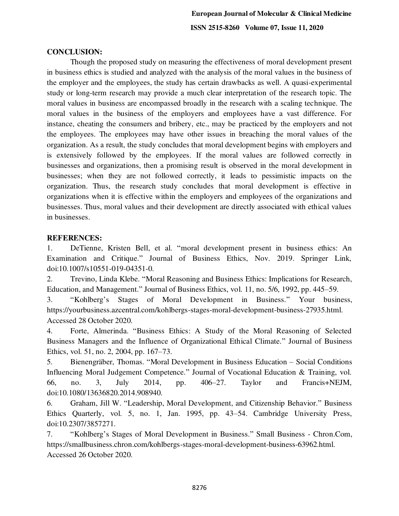## **CONCLUSION:**

 Though the proposed study on measuring the effectiveness of moral development present in business ethics is studied and analyzed with the analysis of the moral values in the business of the employer and the employees, the study has certain drawbacks as well. A quasi-experimental study or long-term research may provide a much clear interpretation of the research topic. The moral values in business are encompassed broadly in the research with a scaling technique. The moral values in the business of the employers and employees have a vast difference. For instance, cheating the consumers and bribery, etc., may be practiced by the employers and not the employees. The employees may have other issues in breaching the moral values of the organization. As a result, the study concludes that moral development begins with employers and is extensively followed by the employees. If the moral values are followed correctly in businesses and organizations, then a promising result is observed in the moral development in businesses; when they are not followed correctly, it leads to pessimistic impacts on the organization. Thus, the research study concludes that moral development is effective in organizations when it is effective within the employers and employees of the organizations and businesses. Thus, moral values and their development are directly associated with ethical values in businesses.

#### **REFERENCES:**

1. DeTienne, Kristen Bell, et al. "moral development present in business ethics: An Examination and Critique." Journal of Business Ethics, Nov. 2019. Springer Link, doi:10.1007/s10551-019-04351-0.

2. Trevino, Linda Klebe. "Moral Reasoning and Business Ethics: Implications for Research, Education, and Management." Journal of Business Ethics, vol. 11, no. 5/6, 1992, pp. 445–59.

3. "Kohlberg's Stages of Moral Development in Business." Your business, https://yourbusiness.azcentral.com/kohlbergs-stages-moral-development-business-27935.html. Accessed 28 October 2020.

4. Forte, Almerinda. "Business Ethics: A Study of the Moral Reasoning of Selected Business Managers and the Influence of Organizational Ethical Climate." Journal of Business Ethics, vol. 51, no. 2, 2004, pp. 167–73.

5. Bienengräber, Thomas. "Moral Development in Business Education – Social Conditions Influencing Moral Judgement Competence." Journal of Vocational Education & Training, vol. 66, no. 3, July 2014, pp. 406–27. Taylor and Francis+NEJM, doi:10.1080/13636820.2014.908940.

6. Graham, Jill W. "Leadership, Moral Development, and Citizenship Behavior." Business Ethics Quarterly, vol. 5, no. 1, Jan. 1995, pp. 43–54. Cambridge University Press, doi:10.2307/3857271.

7. "Kohlberg's Stages of Moral Development in Business." Small Business - Chron.Com, [https://smallbusiness.chron.com/kohlbergs-stages-moral-development-business-63962.html.](https://smallbusiness.chron.com/kohlbergs-stages-moral-development-business-63962.html) Accessed 26 October 2020.